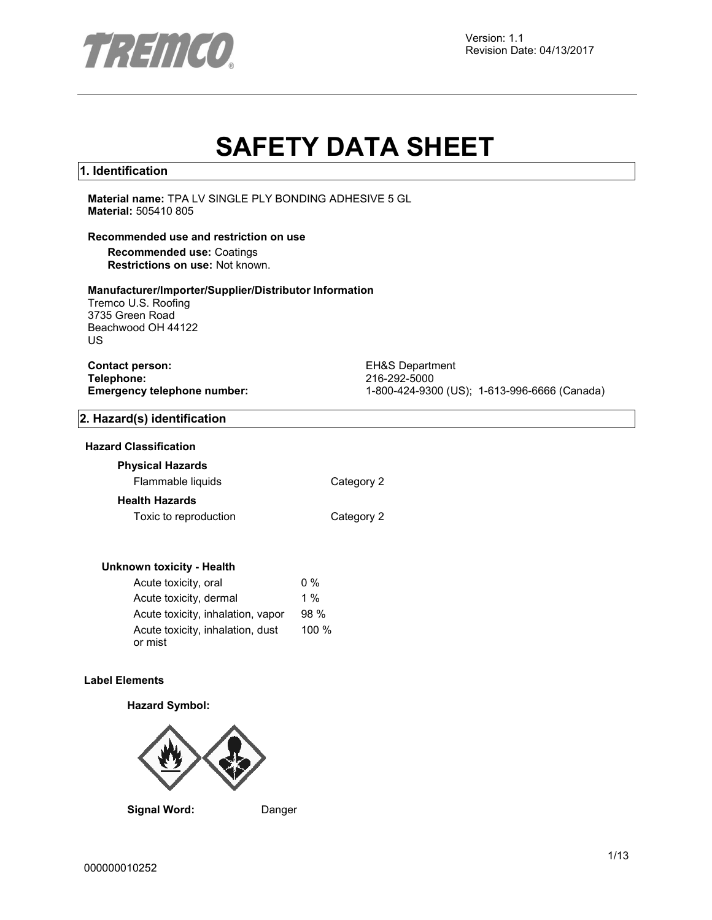

Version: 1.1 Revision Date: 04/13/2017

# **SAFETY DATA SHEET**

# **1. Identification**

**Material name:** TPA LV SINGLE PLY BONDING ADHESIVE 5 GL **Material:** 505410 805

# **Recommended use and restriction on use**

**Recommended use:** Coatings **Restrictions on use:** Not known.

#### **Manufacturer/Importer/Supplier/Distributor Information**

Tremco U.S. Roofing 3735 Green Road Beachwood OH 44122 US

| <b>Contact person:</b>      |  |
|-----------------------------|--|
| Telephone:                  |  |
| Emergency telephone number: |  |

**EH&S Department Telephone:** 216-292-5000 **Emergency telephone number:** 1-800-424-9300 (US); 1-613-996-6666 (Canada)

# **2. Hazard(s) identification**

#### **Hazard Classification**

#### **Physical Hazards**

Flammable liquids Category 2

#### **Health Hazards**

Toxic to reproduction Toxic to reproduction

#### **Unknown toxicity - Health**

| Acute toxicity, oral              | $0\%$ |
|-----------------------------------|-------|
| Acute toxicity, dermal            | $1\%$ |
| Acute toxicity, inhalation, vapor | 98%   |
| Acute toxicity, inhalation, dust  | 100 % |
| or mist                           |       |

### **Label Elements**

#### **Hazard Symbol:**



**Signal Word:** Danger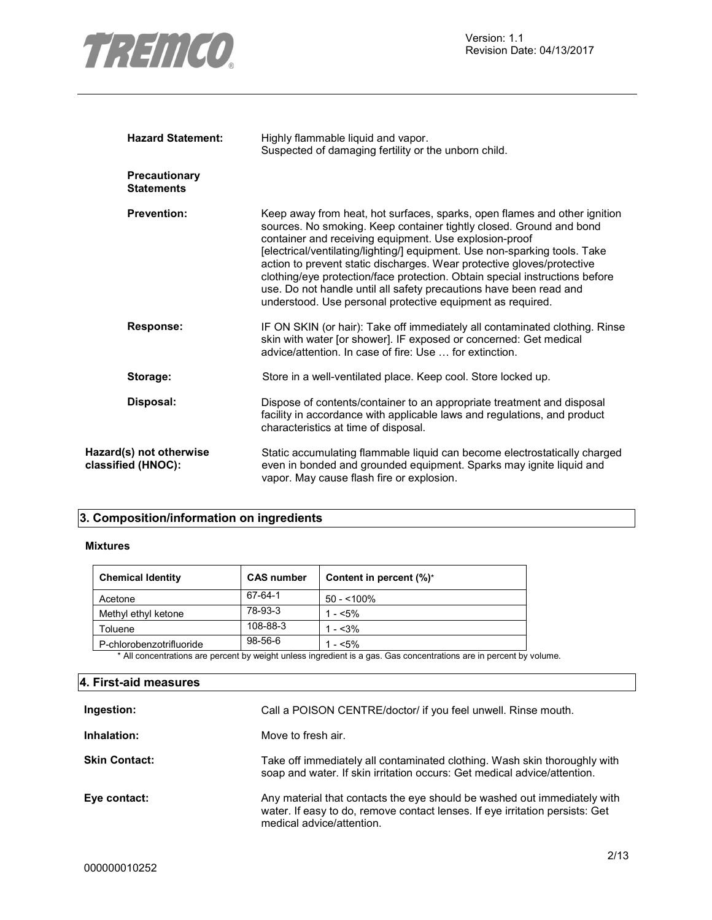

| <b>Hazard Statement:</b>                      | Highly flammable liquid and vapor.<br>Suspected of damaging fertility or the unborn child.                                                                                                                                                                                                                                                                                                                                                                                                                                                                                            |  |
|-----------------------------------------------|---------------------------------------------------------------------------------------------------------------------------------------------------------------------------------------------------------------------------------------------------------------------------------------------------------------------------------------------------------------------------------------------------------------------------------------------------------------------------------------------------------------------------------------------------------------------------------------|--|
| <b>Precautionary</b><br><b>Statements</b>     |                                                                                                                                                                                                                                                                                                                                                                                                                                                                                                                                                                                       |  |
| <b>Prevention:</b>                            | Keep away from heat, hot surfaces, sparks, open flames and other ignition<br>sources. No smoking. Keep container tightly closed. Ground and bond<br>container and receiving equipment. Use explosion-proof<br>[electrical/ventilating/lighting/] equipment. Use non-sparking tools. Take<br>action to prevent static discharges. Wear protective gloves/protective<br>clothing/eye protection/face protection. Obtain special instructions before<br>use. Do not handle until all safety precautions have been read and<br>understood. Use personal protective equipment as required. |  |
| <b>Response:</b>                              | IF ON SKIN (or hair): Take off immediately all contaminated clothing. Rinse<br>skin with water [or shower]. IF exposed or concerned: Get medical<br>advice/attention. In case of fire: Use  for extinction.                                                                                                                                                                                                                                                                                                                                                                           |  |
| Storage:                                      | Store in a well-ventilated place. Keep cool. Store locked up.                                                                                                                                                                                                                                                                                                                                                                                                                                                                                                                         |  |
| Disposal:                                     | Dispose of contents/container to an appropriate treatment and disposal<br>facility in accordance with applicable laws and regulations, and product<br>characteristics at time of disposal.                                                                                                                                                                                                                                                                                                                                                                                            |  |
| Hazard(s) not otherwise<br>classified (HNOC): | Static accumulating flammable liquid can become electrostatically charged<br>even in bonded and grounded equipment. Sparks may ignite liquid and<br>vapor. May cause flash fire or explosion.                                                                                                                                                                                                                                                                                                                                                                                         |  |

# **3. Composition/information on ingredients**

#### **Mixtures**

| <b>Chemical Identity</b> | <b>CAS number</b> | Content in percent $(\%)^*$ |
|--------------------------|-------------------|-----------------------------|
| Acetone                  | 67-64-1           | $50 - 100\%$                |
| Methyl ethyl ketone      | 78-93-3           | 1 - $< 5\%$                 |
| Toluene                  | 108-88-3          | $1 - 3\%$                   |
| P-chlorobenzotrifluoride | $98 - 56 - 6$     | $1 - 5\%$                   |

\* All concentrations are percent by weight unless ingredient is a gas. Gas concentrations are in percent by volume.

# **4. First-aid measures**

| Ingestion:           | Call a POISON CENTRE/doctor/ if you feel unwell. Rinse mouth.                                                                                                                         |
|----------------------|---------------------------------------------------------------------------------------------------------------------------------------------------------------------------------------|
| Inhalation:          | Move to fresh air.                                                                                                                                                                    |
| <b>Skin Contact:</b> | Take off immediately all contaminated clothing. Wash skin thoroughly with<br>soap and water. If skin irritation occurs: Get medical advice/attention.                                 |
| Eye contact:         | Any material that contacts the eye should be washed out immediately with<br>water. If easy to do, remove contact lenses. If eye irritation persists: Get<br>medical advice/attention. |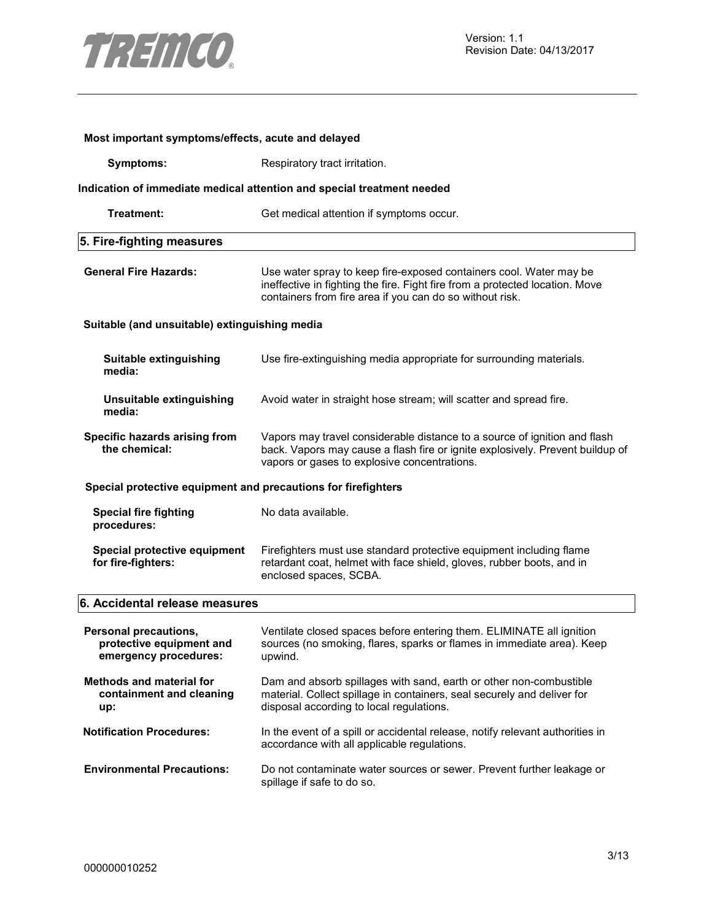

| Most important symptoms/effects, acute and delayed                         |                                                                                                                                                                                                                |  |
|----------------------------------------------------------------------------|----------------------------------------------------------------------------------------------------------------------------------------------------------------------------------------------------------------|--|
| <b>Symptoms:</b>                                                           | Respiratory tract irritation.                                                                                                                                                                                  |  |
|                                                                            | Indication of immediate medical attention and special treatment needed                                                                                                                                         |  |
| Treatment:                                                                 | Get medical attention if symptoms occur.                                                                                                                                                                       |  |
| 5. Fire-fighting measures                                                  |                                                                                                                                                                                                                |  |
| <b>General Fire Hazards:</b>                                               | Use water spray to keep fire-exposed containers cool. Water may be<br>ineffective in fighting the fire. Fight fire from a protected location. Move<br>containers from fire area if you can do so without risk. |  |
| Suitable (and unsuitable) extinguishing media                              |                                                                                                                                                                                                                |  |
| Suitable extinguishing<br>media:                                           | Use fire-extinguishing media appropriate for surrounding materials.                                                                                                                                            |  |
| Unsuitable extinguishing<br>media:                                         | Avoid water in straight hose stream; will scatter and spread fire.                                                                                                                                             |  |
| Specific hazards arising from<br>the chemical:                             | Vapors may travel considerable distance to a source of ignition and flash<br>back. Vapors may cause a flash fire or ignite explosively. Prevent buildup of<br>vapors or gases to explosive concentrations.     |  |
| Special protective equipment and precautions for firefighters              |                                                                                                                                                                                                                |  |
| <b>Special fire fighting</b><br>procedures:                                | No data available.                                                                                                                                                                                             |  |
| Special protective equipment<br>for fire-fighters:                         | Firefighters must use standard protective equipment including flame<br>retardant coat, helmet with face shield, gloves, rubber boots, and in<br>enclosed spaces, SCBA.                                         |  |
| 6. Accidental release measures                                             |                                                                                                                                                                                                                |  |
| Personal precautions,<br>protective equipment and<br>emergency procedures: | Ventilate closed spaces before entering them. ELIMINATE all ignition<br>sources (no smoking, flares, sparks or flames in immediate area). Keep<br>upwind.                                                      |  |
| <b>Methods and material for</b><br>containment and cleaning<br>up:         | Dam and absorb spillages with sand, earth or other non-combustible<br>material. Collect spillage in containers, seal securely and deliver for<br>disposal according to local regulations.                      |  |
| <b>Notification Procedures:</b>                                            | In the event of a spill or accidental release, notify relevant authorities in<br>accordance with all applicable regulations.                                                                                   |  |
| <b>Environmental Precautions:</b>                                          | Do not contaminate water sources or sewer. Prevent further leakage or<br>spillage if safe to do so.                                                                                                            |  |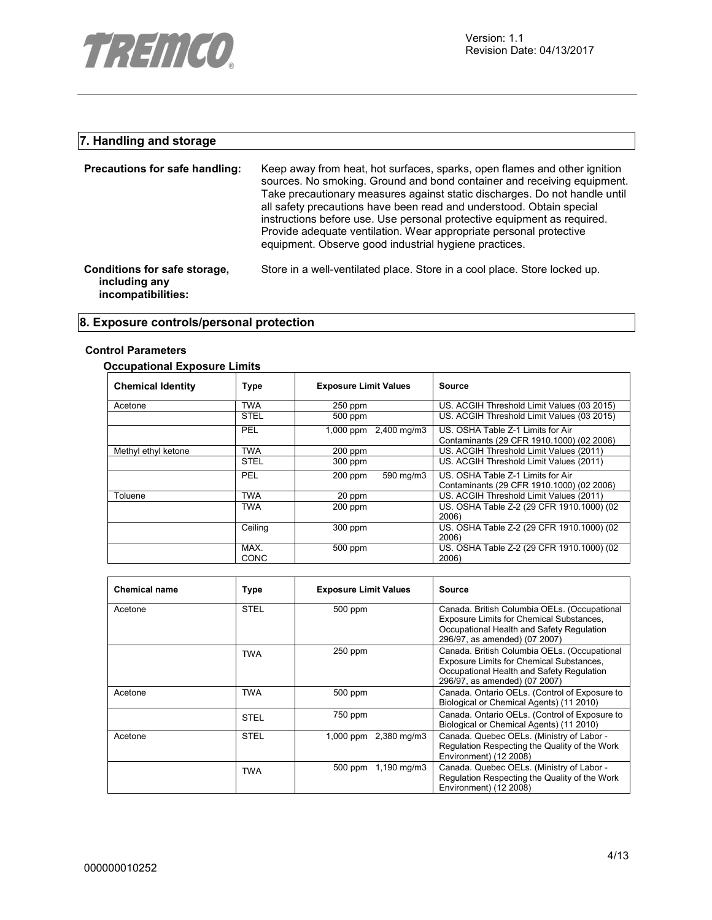

# **7. Handling and storage**

| Precautions for safe handling:                                      | Keep away from heat, hot surfaces, sparks, open flames and other ignition<br>sources. No smoking. Ground and bond container and receiving equipment.<br>Take precautionary measures against static discharges. Do not handle until<br>all safety precautions have been read and understood. Obtain special<br>instructions before use. Use personal protective equipment as required.<br>Provide adequate ventilation. Wear appropriate personal protective<br>equipment. Observe good industrial hygiene practices. |
|---------------------------------------------------------------------|----------------------------------------------------------------------------------------------------------------------------------------------------------------------------------------------------------------------------------------------------------------------------------------------------------------------------------------------------------------------------------------------------------------------------------------------------------------------------------------------------------------------|
| Conditions for safe storage,<br>including any<br>incompatibilities: | Store in a well-ventilated place. Store in a cool place. Store locked up.                                                                                                                                                                                                                                                                                                                                                                                                                                            |

# **8. Exposure controls/personal protection**

#### **Control Parameters**

# **Occupational Exposure Limits**

| <b>Chemical Identity</b> | <b>Type</b>         | <b>Exposure Limit Values</b> | Source                                                                         |
|--------------------------|---------------------|------------------------------|--------------------------------------------------------------------------------|
| Acetone                  | <b>TWA</b>          | $250$ ppm                    | US. ACGIH Threshold Limit Values (03 2015)                                     |
|                          | <b>STEL</b>         | 500 ppm                      | US. ACGIH Threshold Limit Values (03 2015)                                     |
|                          | PEL                 | 1,000 ppm 2,400 mg/m3        | US. OSHA Table Z-1 Limits for Air<br>Contaminants (29 CFR 1910.1000) (02 2006) |
| Methyl ethyl ketone      | <b>TWA</b>          | $200$ ppm                    | US. ACGIH Threshold Limit Values (2011)                                        |
|                          | <b>STEL</b>         | 300 ppm                      | US. ACGIH Threshold Limit Values (2011)                                        |
|                          | PEL                 | 590 mg/m3<br>$200$ ppm       | US. OSHA Table Z-1 Limits for Air<br>Contaminants (29 CFR 1910.1000) (02 2006) |
| Toluene                  | <b>TWA</b>          | 20 ppm                       | US. ACGIH Threshold Limit Values (2011)                                        |
|                          | TWA                 | $200$ ppm                    | US. OSHA Table Z-2 (29 CFR 1910.1000) (02<br>2006)                             |
|                          | Ceiling             | 300 ppm                      | US. OSHA Table Z-2 (29 CFR 1910.1000) (02<br>2006)                             |
|                          | MAX.<br><b>CONC</b> | 500 ppm                      | US. OSHA Table Z-2 (29 CFR 1910.1000) (02<br>2006)                             |

| <b>Chemical name</b> | Type        | <b>Exposure Limit Values</b>                                                                                                                                                      | Source                                                                                                                                                                 |
|----------------------|-------------|-----------------------------------------------------------------------------------------------------------------------------------------------------------------------------------|------------------------------------------------------------------------------------------------------------------------------------------------------------------------|
| Acetone              | <b>STEL</b> | 500 ppm<br>Canada. British Columbia OELs. (Occupational<br>Exposure Limits for Chemical Substances,<br>Occupational Health and Safety Regulation<br>296/97, as amended) (07 2007) |                                                                                                                                                                        |
|                      | <b>TWA</b>  | $250$ ppm                                                                                                                                                                         | Canada. British Columbia OELs. (Occupational<br>Exposure Limits for Chemical Substances,<br>Occupational Health and Safety Regulation<br>296/97, as amended) (07 2007) |
| Acetone              | <b>TWA</b>  | 500 ppm                                                                                                                                                                           | Canada. Ontario OELs. (Control of Exposure to<br>Biological or Chemical Agents) (11 2010)                                                                              |
|                      | <b>STEL</b> | 750 ppm                                                                                                                                                                           | Canada. Ontario OELs. (Control of Exposure to<br>Biological or Chemical Agents) (11 2010)                                                                              |
| Acetone              | <b>STEL</b> | 1,000 ppm 2,380 mg/m3                                                                                                                                                             | Canada. Quebec OELs. (Ministry of Labor -<br>Regulation Respecting the Quality of the Work<br>Environment) (12 2008)                                                   |
|                      | <b>TWA</b>  | $1,190 \,\mathrm{mq/m}$<br>500 ppm                                                                                                                                                | Canada. Quebec OELs. (Ministry of Labor -<br>Regulation Respecting the Quality of the Work<br>Environment) (12 2008)                                                   |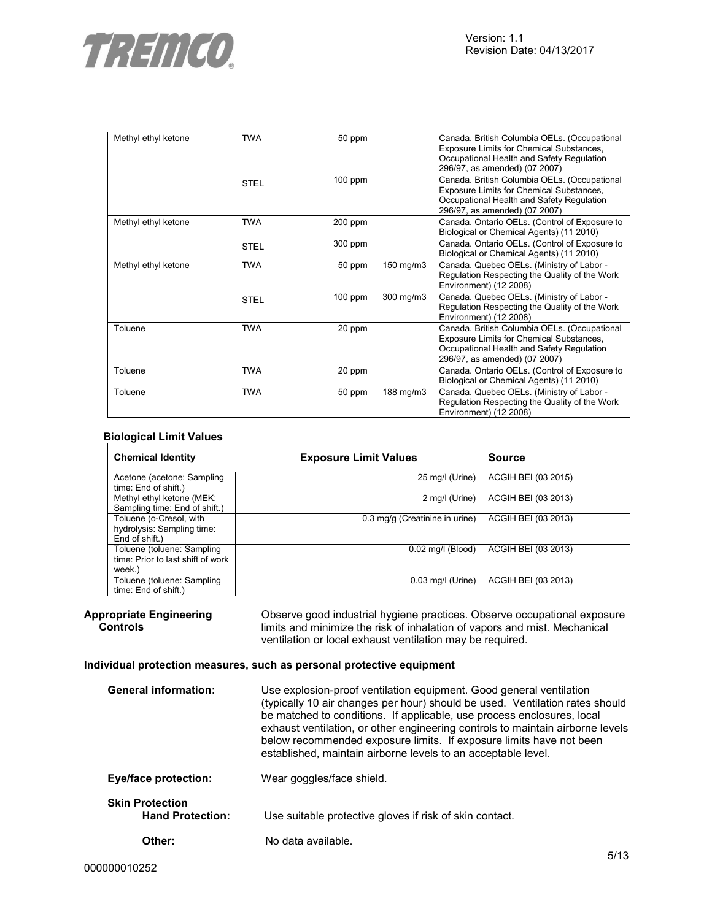

| Methyl ethyl ketone | <b>TWA</b>  | 50 ppm    |           | Canada. British Columbia OELs. (Occupational<br>Exposure Limits for Chemical Substances,<br>Occupational Health and Safety Regulation<br>296/97, as amended) (07 2007) |
|---------------------|-------------|-----------|-----------|------------------------------------------------------------------------------------------------------------------------------------------------------------------------|
|                     | <b>STEL</b> | $100$ ppm |           | Canada. British Columbia OELs. (Occupational<br>Exposure Limits for Chemical Substances,<br>Occupational Health and Safety Regulation<br>296/97, as amended) (07 2007) |
| Methyl ethyl ketone | <b>TWA</b>  | 200 ppm   |           | Canada. Ontario OELs. (Control of Exposure to<br>Biological or Chemical Agents) (11 2010)                                                                              |
|                     | <b>STEL</b> | 300 ppm   |           | Canada. Ontario OELs. (Control of Exposure to<br>Biological or Chemical Agents) (11 2010)                                                                              |
| Methyl ethyl ketone | <b>TWA</b>  | 50 ppm    | 150 mg/m3 | Canada. Quebec OELs. (Ministry of Labor -<br>Regulation Respecting the Quality of the Work<br>Environment) (12 2008)                                                   |
|                     | <b>STEL</b> | $100$ ppm | 300 mg/m3 | Canada. Quebec OELs. (Ministry of Labor -<br>Regulation Respecting the Quality of the Work<br>Environment) (12 2008)                                                   |
| Toluene             | <b>TWA</b>  | 20 ppm    |           | Canada. British Columbia OELs. (Occupational<br>Exposure Limits for Chemical Substances,<br>Occupational Health and Safety Regulation<br>296/97, as amended) (07 2007) |
| Toluene             | TWA         | 20 ppm    |           | Canada. Ontario OELs. (Control of Exposure to<br>Biological or Chemical Agents) (11 2010)                                                                              |
| Toluene             | <b>TWA</b>  | 50 ppm    | 188 mg/m3 | Canada. Quebec OELs. (Ministry of Labor -<br>Regulation Respecting the Quality of the Work<br>Environment) (12 2008)                                                   |

#### **Biological Limit Values**

| <b>Chemical Identity</b>                                                  | <b>Exposure Limit Values</b>   | <b>Source</b>       |
|---------------------------------------------------------------------------|--------------------------------|---------------------|
| Acetone (acetone: Sampling<br>time: End of shift.)                        | 25 mg/l (Urine)                | ACGIH BEI (03 2015) |
| Methyl ethyl ketone (MEK:<br>Sampling time: End of shift.)                | 2 mg/l (Urine)                 | ACGIH BEI (03 2013) |
| Toluene (o-Cresol, with<br>hydrolysis: Sampling time:<br>End of shift.)   | 0.3 mg/g (Creatinine in urine) | ACGIH BEI (03 2013) |
| Toluene (toluene: Sampling<br>time: Prior to last shift of work<br>week.) | $0.02$ mg/l (Blood)            | ACGIH BEI (03 2013) |
| Toluene (toluene: Sampling<br>time: End of shift.)                        | $0.03$ mg/l (Urine)            | ACGIH BEI (03 2013) |

**Appropriate Engineering Controls**  Observe good industrial hygiene practices. Observe occupational exposure limits and minimize the risk of inhalation of vapors and mist. Mechanical ventilation or local exhaust ventilation may be required.

#### **Individual protection measures, such as personal protective equipment**

| <b>General information:</b>                       | Use explosion-proof ventilation equipment. Good general ventilation<br>(typically 10 air changes per hour) should be used. Ventilation rates should<br>be matched to conditions. If applicable, use process enclosures, local<br>exhaust ventilation, or other engineering controls to maintain airborne levels<br>below recommended exposure limits. If exposure limits have not been<br>established, maintain airborne levels to an acceptable level. |
|---------------------------------------------------|---------------------------------------------------------------------------------------------------------------------------------------------------------------------------------------------------------------------------------------------------------------------------------------------------------------------------------------------------------------------------------------------------------------------------------------------------------|
| <b>Eye/face protection:</b>                       | Wear goggles/face shield.                                                                                                                                                                                                                                                                                                                                                                                                                               |
| <b>Skin Protection</b><br><b>Hand Protection:</b> | Use suitable protective gloves if risk of skin contact.                                                                                                                                                                                                                                                                                                                                                                                                 |
| Other:                                            | No data available.                                                                                                                                                                                                                                                                                                                                                                                                                                      |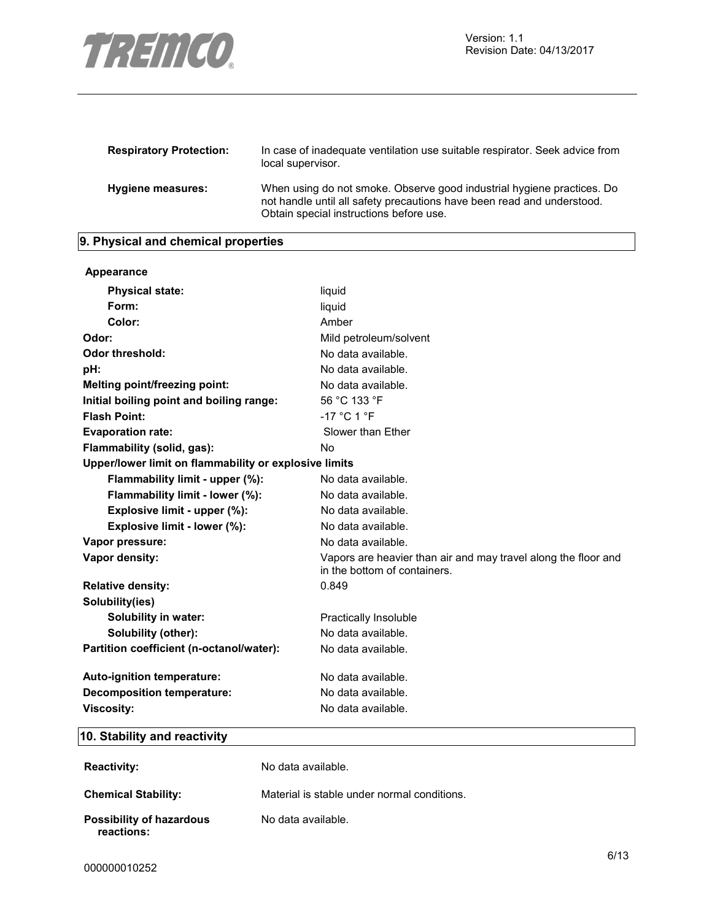

| <b>Respiratory Protection:</b> | In case of inadequate ventilation use suitable respirator. Seek advice from<br>local supervisor.                                                                                            |
|--------------------------------|---------------------------------------------------------------------------------------------------------------------------------------------------------------------------------------------|
| Hygiene measures:              | When using do not smoke. Observe good industrial hygiene practices. Do<br>not handle until all safety precautions have been read and understood.<br>Obtain special instructions before use. |

# **9. Physical and chemical properties**

| Appearance                                            |                                                                                                |
|-------------------------------------------------------|------------------------------------------------------------------------------------------------|
| <b>Physical state:</b>                                | liquid                                                                                         |
| Form:                                                 | liquid                                                                                         |
| Color:                                                | Amber                                                                                          |
| Odor:                                                 | Mild petroleum/solvent                                                                         |
| <b>Odor threshold:</b>                                | No data available.                                                                             |
| pH:                                                   | No data available.                                                                             |
| Melting point/freezing point:                         | No data available.                                                                             |
| Initial boiling point and boiling range:              | 56 °C 133 °F                                                                                   |
| <b>Flash Point:</b>                                   | $-17$ °C 1 °F                                                                                  |
| <b>Evaporation rate:</b>                              | Slower than Ether                                                                              |
| Flammability (solid, gas):                            | No.                                                                                            |
| Upper/lower limit on flammability or explosive limits |                                                                                                |
| Flammability limit - upper (%):                       | No data available.                                                                             |
| Flammability limit - lower (%):                       | No data available.                                                                             |
| Explosive limit - upper (%):                          | No data available.                                                                             |
| Explosive limit - lower (%):                          | No data available.                                                                             |
| Vapor pressure:                                       | No data available.                                                                             |
| Vapor density:                                        | Vapors are heavier than air and may travel along the floor and<br>in the bottom of containers. |
| <b>Relative density:</b>                              | 0.849                                                                                          |
| Solubility(ies)                                       |                                                                                                |
| <b>Solubility in water:</b>                           | <b>Practically Insoluble</b>                                                                   |
| Solubility (other):                                   | No data available.                                                                             |
| Partition coefficient (n-octanol/water):              | No data available.                                                                             |
| Auto-ignition temperature:                            | No data available.                                                                             |
| <b>Decomposition temperature:</b>                     | No data available.                                                                             |
| <b>Viscosity:</b>                                     | No data available.                                                                             |

# **10. Stability and reactivity**

| <b>Reactivity:</b>                            | No data available.                          |
|-----------------------------------------------|---------------------------------------------|
| <b>Chemical Stability:</b>                    | Material is stable under normal conditions. |
| <b>Possibility of hazardous</b><br>reactions: | No data available.                          |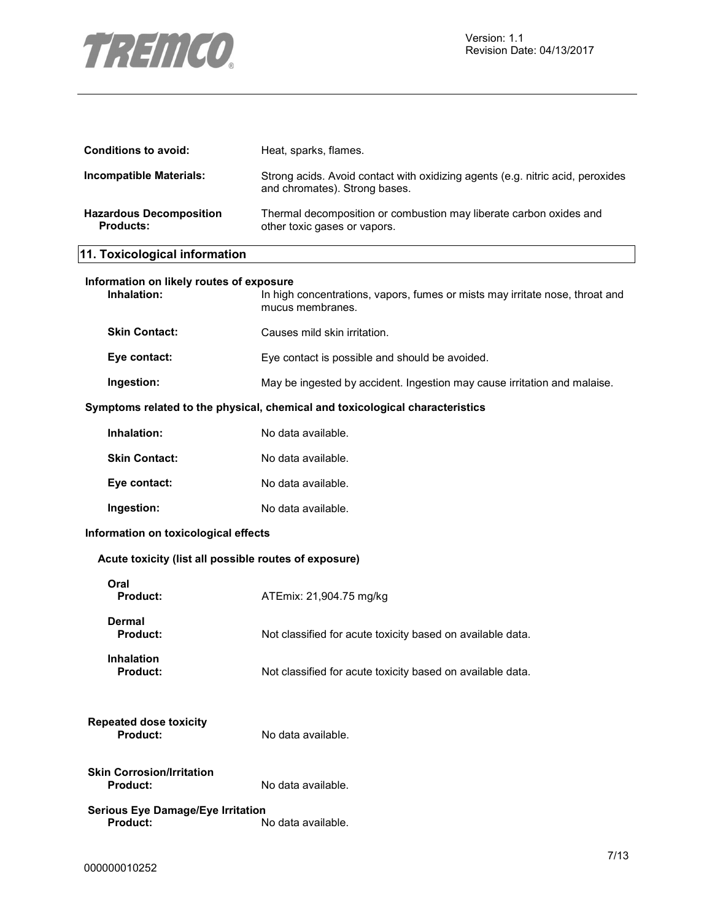

| <b>Conditions to avoid:</b>                             | Heat, sparks, flames.                                                                                           |
|---------------------------------------------------------|-----------------------------------------------------------------------------------------------------------------|
| <b>Incompatible Materials:</b>                          | Strong acids. Avoid contact with oxidizing agents (e.g. nitric acid, peroxides<br>and chromates). Strong bases. |
| <b>Hazardous Decomposition</b><br><b>Products:</b>      | Thermal decomposition or combustion may liberate carbon oxides and<br>other toxic gases or vapors.              |
| 11. Toxicological information                           |                                                                                                                 |
| Information on likely routes of exposure<br>Inhalation: | In high concentrations, vapors, fumes or mists may irritate nose, throat and<br>mucus membranes.                |
| <b>Skin Contact:</b>                                    | Causes mild skin irritation.                                                                                    |
| Eye contact:                                            | Eye contact is possible and should be avoided.                                                                  |
| Ingestion:                                              | May be ingested by accident. Ingestion may cause irritation and malaise.                                        |
|                                                         | Symptoms related to the physical, chemical and toxicological characteristics                                    |
| Inhalation:                                             | No data available.                                                                                              |
| <b>Skin Contact:</b>                                    | No data available.                                                                                              |
| Eye contact:                                            | No data available.                                                                                              |
| Ingestion:                                              | No data available.                                                                                              |
| Information on toxicological effects                    |                                                                                                                 |
| Acute toxicity (list all possible routes of exposure)   |                                                                                                                 |
| Oral<br><b>Product:</b>                                 | ATEmix: 21,904.75 mg/kg                                                                                         |
| Dermal<br><b>Product:</b>                               | Not classified for acute toxicity based on available data.                                                      |
| <b>Inhalation</b><br><b>Product:</b>                    | Not classified for acute toxicity based on available data.                                                      |
| <b>Repeated dose toxicity</b><br><b>Product:</b>        | No data available.                                                                                              |
| <b>Skin Corrosion/Irritation</b><br><b>Product:</b>     | No data available.                                                                                              |
| <b>Serious Eye Damage/Eye Irritation</b><br>Product:    | No data available.                                                                                              |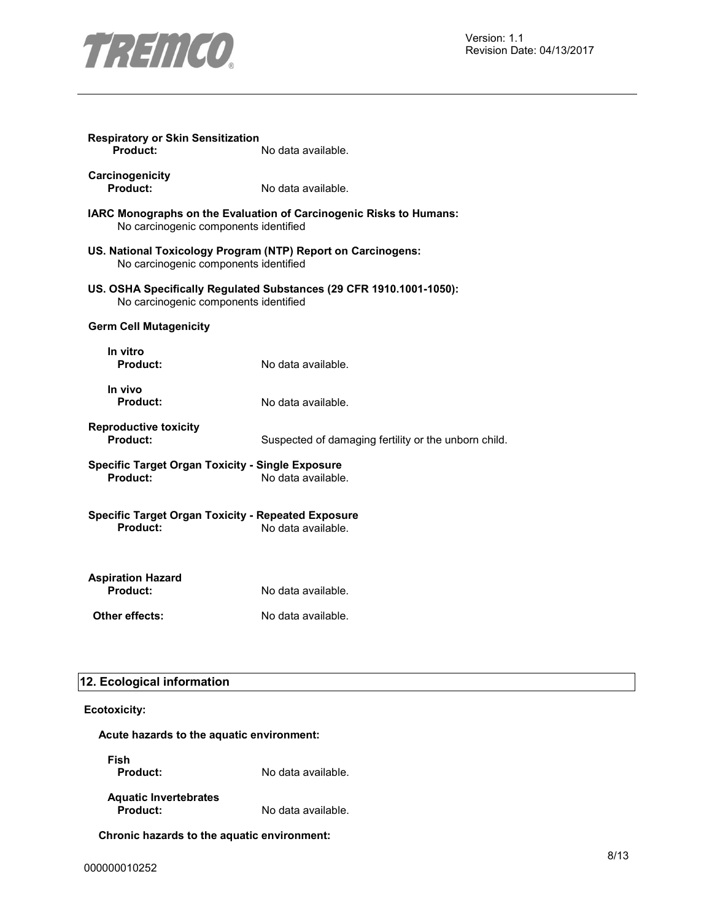

| <b>Respiratory or Skin Sensitization</b><br>Product:                                                        | No data available.                                                  |  |
|-------------------------------------------------------------------------------------------------------------|---------------------------------------------------------------------|--|
| Carcinogenicity<br>Product:                                                                                 | No data available.                                                  |  |
| IARC Monographs on the Evaluation of Carcinogenic Risks to Humans:<br>No carcinogenic components identified |                                                                     |  |
| US. National Toxicology Program (NTP) Report on Carcinogens:<br>No carcinogenic components identified       |                                                                     |  |
| No carcinogenic components identified                                                                       | US. OSHA Specifically Regulated Substances (29 CFR 1910.1001-1050): |  |
| <b>Germ Cell Mutagenicity</b>                                                                               |                                                                     |  |
| In vitro<br>Product:                                                                                        | No data available.                                                  |  |
| In vivo<br>Product:                                                                                         | No data available.                                                  |  |
| <b>Reproductive toxicity</b><br>Product:                                                                    | Suspected of damaging fertility or the unborn child.                |  |
| <b>Specific Target Organ Toxicity - Single Exposure</b><br>Product:                                         | No data available.                                                  |  |
| <b>Specific Target Organ Toxicity - Repeated Exposure</b><br>Product:<br>No data available.                 |                                                                     |  |
| <b>Aspiration Hazard</b><br>Product:                                                                        | No data available.                                                  |  |
| Other effects:                                                                                              | No data available.                                                  |  |
|                                                                                                             |                                                                     |  |

# **12. Ecological information**

# **Ecotoxicity:**

**Acute hazards to the aquatic environment:** 

**Fish** 

**Product:** No data available.

**Aquatic Invertebrates Product:** No data available.

**Chronic hazards to the aquatic environment:**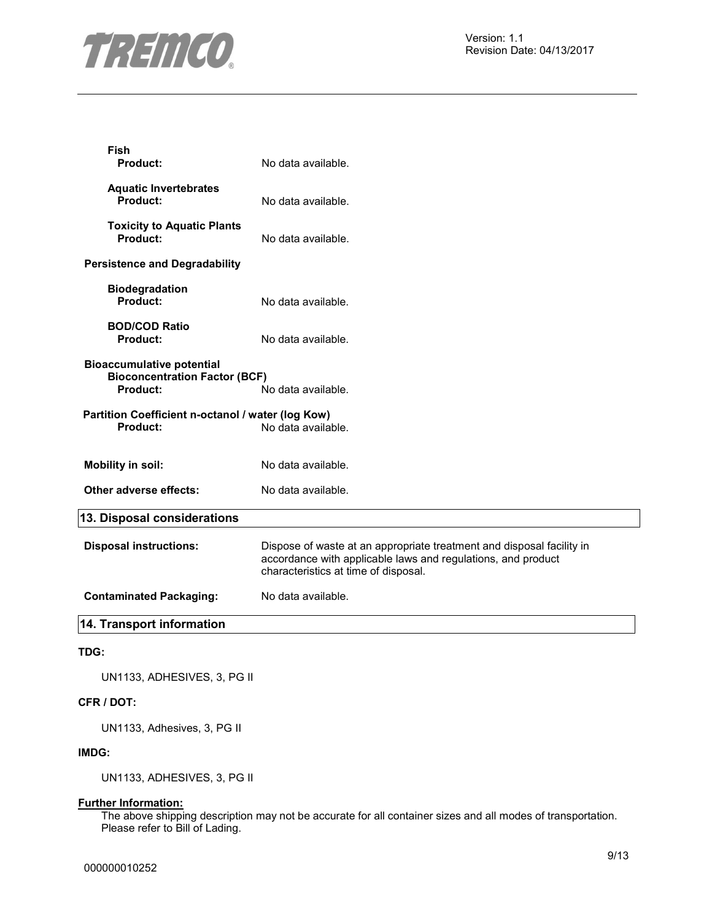

**Fish** 

| <b>Product:</b>                                                                      | No data available.                                                                                                                                                            |
|--------------------------------------------------------------------------------------|-------------------------------------------------------------------------------------------------------------------------------------------------------------------------------|
| <b>Aquatic Invertebrates</b><br>Product:                                             | No data available.                                                                                                                                                            |
| <b>Toxicity to Aquatic Plants</b><br>Product:                                        | No data available.                                                                                                                                                            |
| <b>Persistence and Degradability</b>                                                 |                                                                                                                                                                               |
| <b>Biodegradation</b><br>Product:                                                    | No data available.                                                                                                                                                            |
| <b>BOD/COD Ratio</b><br>Product:                                                     | No data available.                                                                                                                                                            |
| <b>Bioaccumulative potential</b><br><b>Bioconcentration Factor (BCF)</b><br>Product: | No data available.                                                                                                                                                            |
| Partition Coefficient n-octanol / water (log Kow)<br>Product:                        | No data available.                                                                                                                                                            |
| <b>Mobility in soil:</b>                                                             | No data available.                                                                                                                                                            |
| Other adverse effects:                                                               | No data available.                                                                                                                                                            |
| 13. Disposal considerations                                                          |                                                                                                                                                                               |
| <b>Disposal instructions:</b>                                                        | Dispose of waste at an appropriate treatment and disposal facility in<br>accordance with applicable laws and regulations, and product<br>characteristics at time of disposal. |
| <b>Contaminated Packaging:</b>                                                       | No data available.                                                                                                                                                            |
| 14. Transport information                                                            |                                                                                                                                                                               |

# **TDG:**

UN1133, ADHESIVES, 3, PG II

# **CFR / DOT:**

UN1133, Adhesives, 3, PG II

### **IMDG:**

UN1133, ADHESIVES, 3, PG II

# **Further Information:**

The above shipping description may not be accurate for all container sizes and all modes of transportation. Please refer to Bill of Lading.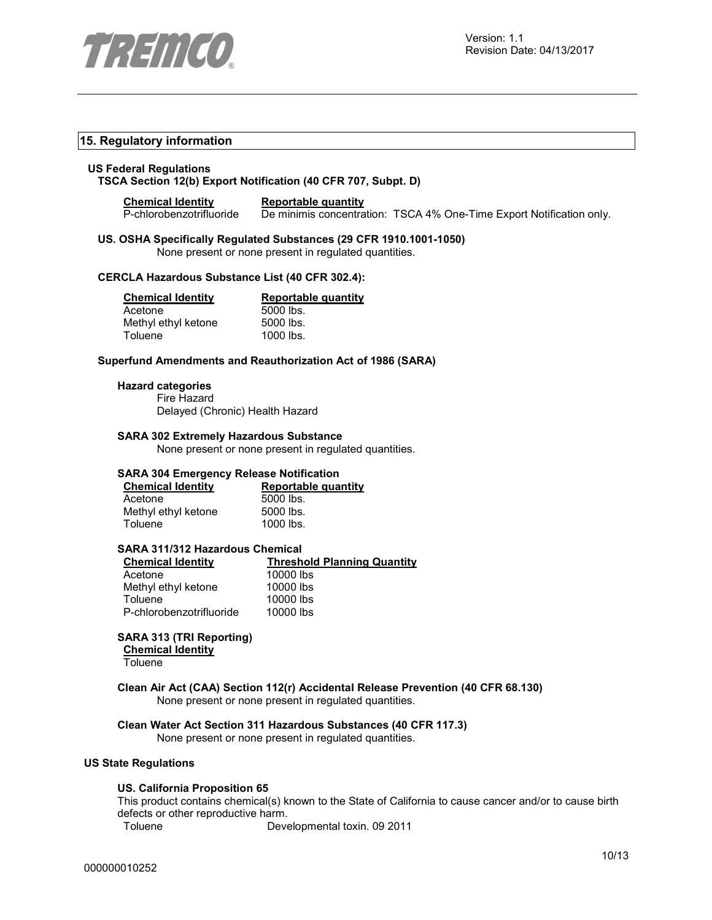

# **15. Regulatory information**

#### **US Federal Regulations TSCA Section 12(b) Export Notification (40 CFR 707, Subpt. D)**

#### **Chemical Identity Reportable quantity**

P-chlorobenzotrifluoride De minimis concentration: TSCA 4% One-Time Export Notification only.

# **US. OSHA Specifically Regulated Substances (29 CFR 1910.1001-1050)**

None present or none present in regulated quantities.

# **CERCLA Hazardous Substance List (40 CFR 302.4):**

| <b>Chemical Identity</b> |  |
|--------------------------|--|
|                          |  |

Methyl ethyl ketone

**Reportable quantity** Acetone 5000 lbs.<br>
Methyl ethyl ketone 5000 lbs. Toluene 1000 lbs.

### **Superfund Amendments and Reauthorization Act of 1986 (SARA)**

#### **Hazard categories**

Fire Hazard Delayed (Chronic) Health Hazard

#### **SARA 302 Extremely Hazardous Substance**

None present or none present in regulated quantities.

# **SARA 304 Emergency Release Notification**

| <b>Chemical Identity</b> | Reportable quantity |
|--------------------------|---------------------|
| Acetone                  | 5000 lbs.           |
| Methyl ethyl ketone      | 5000 lbs.           |
| Toluene                  | 1000 lbs.           |

# **SARA 311/312 Hazardous Chemical**

| <b>Threshold Planning Quantity</b> |
|------------------------------------|
| 10000 lbs                          |
| 10000 lbs                          |
| 10000 lbs                          |
| 10000 lbs                          |
|                                    |

# **SARA 313 (TRI Reporting)**

**Chemical Identity**

Toluene

#### **Clean Air Act (CAA) Section 112(r) Accidental Release Prevention (40 CFR 68.130)**  None present or none present in regulated quantities.

# **Clean Water Act Section 311 Hazardous Substances (40 CFR 117.3)**

None present or none present in regulated quantities.

#### **US State Regulations**

#### **US. California Proposition 65**

This product contains chemical(s) known to the State of California to cause cancer and/or to cause birth defects or other reproductive harm.

Toluene Developmental toxin. 09 2011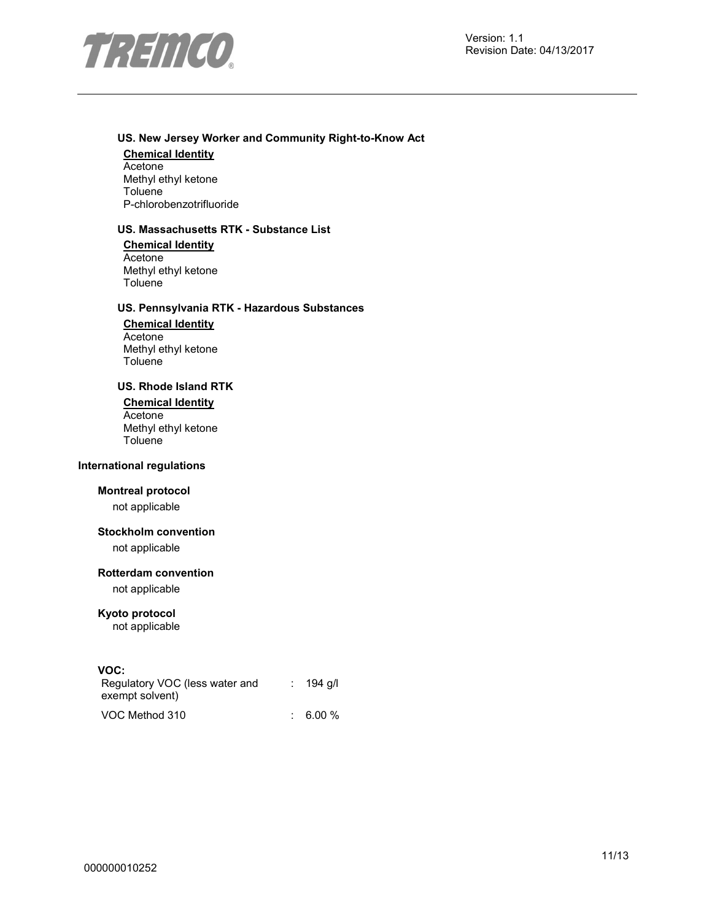

# **US. New Jersey Worker and Community Right-to-Know Act**

#### **Chemical Identity**

Acetone Methyl ethyl ketone Toluene P-chlorobenzotrifluoride

# **US. Massachusetts RTK - Substance List**

**Chemical Identity** Acetone Methyl ethyl ketone **Toluene** 

# **US. Pennsylvania RTK - Hazardous Substances**

**Chemical Identity** Acetone Methyl ethyl ketone **Toluene** 

# **US. Rhode Island RTK**

**Chemical Identity Acetone** Methyl ethyl ketone **Toluene** 

### **International regulations**

### **Montreal protocol**

not applicable

# **Stockholm convention**

not applicable

#### **Rotterdam convention**

not applicable

# **Kyoto protocol**

not applicable

### **VOC:**

| Regulatory VOC (less water and | $: 194$ q/l |
|--------------------------------|-------------|
| exempt solvent)                |             |
| VOC Method 310                 | $: 6.00 \%$ |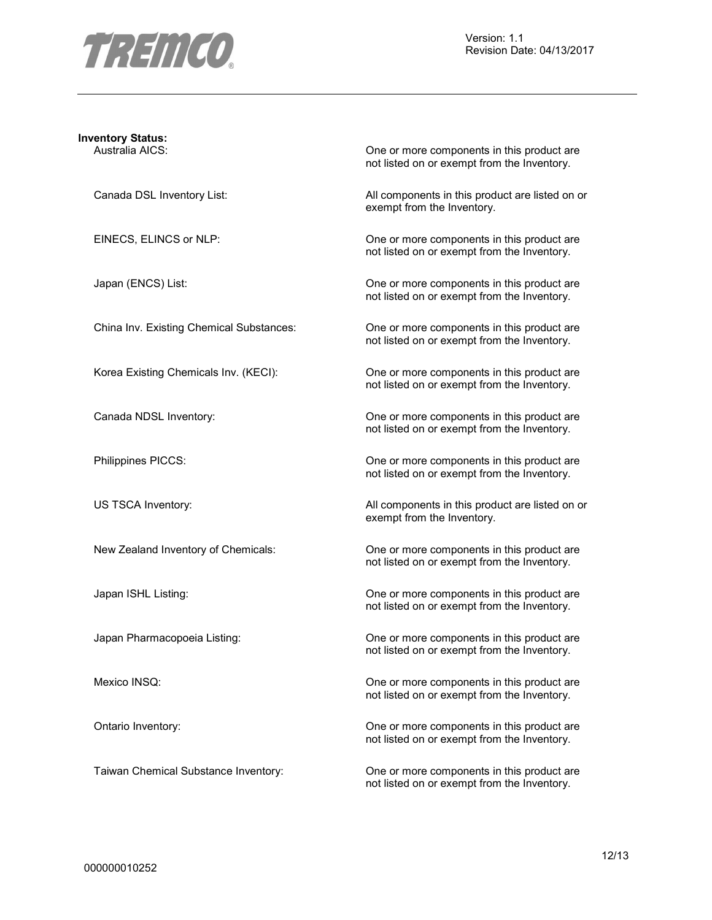

Version: 1.1 Revision Date: 04/13/2017

# **Inventory Status:**

Australia AICS: One or more components in this product are not listed on or exempt from the Inventory.

Canada DSL Inventory List: All components in this product are listed on or exempt from the Inventory.

EINECS, ELINCS or NLP: One or more components in this product are not listed on or exempt from the Inventory.

Japan (ENCS) List:  $\qquad \qquad$  One or more components in this product are not listed on or exempt from the Inventory.

China Inv. Existing Chemical Substances: One or more components in this product are not listed on or exempt from the Inventory.

Korea Existing Chemicals Inv. (KECI): One or more components in this product are not listed on or exempt from the Inventory.

Canada NDSL Inventory: One or more components in this product are not listed on or exempt from the Inventory.

Philippines PICCS: One or more components in this product are not listed on or exempt from the Inventory.

US TSCA Inventory: **All components in this product are listed on or** All components in this product are listed on or exempt from the Inventory.

New Zealand Inventory of Chemicals: One or more components in this product are not listed on or exempt from the Inventory.

Japan ISHL Listing: One or more components in this product are not listed on or exempt from the Inventory.

Japan Pharmacopoeia Listing: One or more components in this product are not listed on or exempt from the Inventory.

Mexico INSQ: Mexico INSQ: CONSIDENTIFY CONSIDER THE ONE ONE ONE ONE ONE COMPONENTS In this product are not listed on or exempt from the Inventory.

Ontario Inventory: One or more components in this product are not listed on or exempt from the Inventory.

Taiwan Chemical Substance Inventory: One or more components in this product are not listed on or exempt from the Inventory.